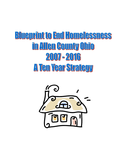# **Blueprint to End Homelessness** in Allen County Ohio 2007-2016 A Ten Year Strategy

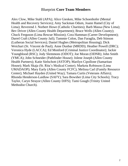# Blueprint **Core Team Members**

Alex Clow, Mike Stahl (APA); Alice Giesken, Mike Schoenhofer (Mental Health and Recovery Services); Amy Sackman Odum, Joann Hamel (City of Lima); Reverend J. Norbert Howe (Catholic Charities); Barb Massa (New Lima); Bev Driver (Allen County Health Department); Bruce Wells (Allen County); Chuck Ferguson (Lima Rescue Mission); Cora Hamman (Career Development); Darrel Craft (Allen County Jail); Tammie Colon, Dan Faraglia, Deb Stinson (Lutheran Social Services); Daniel Hughes (Metropolitan Housing); Dick Weichart (St. Vincent de Paul); Anne Dunbar (MRDD); Heather Powell (DRC); Veronica Hyde (LACCA); Ed Monford (Criminal Justice Coordinator); Jackie Youngblood (RSC); Jody Slemmons (ODOT); Joe Moran (ODNR); John Smith (YMCA); John Schneider (Pathfinder House); Jolene Joseph (Allen County Health Partners); Katie Sielschott (ASTOP); Marilyn Cipollone (Samaritan House); Mark Skaja (St. Rita"s Medical Center); Marketa Robinson (Lima UMADAOP); Mary Early (Allen County FCFC); Melissa Carl (Family Resource Center); Michael Hayden (United Way); Tamara Curtis (Veterans Affairs); Rhonda Henderson-Laidlaw (SAFY); Sara Bowsher (Lima City Schools); Tracy Taylor, Caryn Strayor (Allen County DJFS); Tami Gough (Trinity United Methodist Church).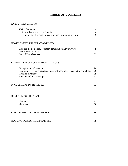# **TABLE OF CONTENTS**

#### EXECUTIVE SUMMARY

| Vision Statement                                        |  |
|---------------------------------------------------------|--|
| History of Lima and Allen County                        |  |
| Development of Housing Consortium and Continuum of Care |  |

### HOMELESSNESS IN OUR COMMUNITY

| Who are the homeless? (Point in Time and 30 Day Survey) |  |
|---------------------------------------------------------|--|
| <b>Contributing Factors</b>                             |  |
| Cost of Homelessness                                    |  |

#### CURRENT RESOURCES AND CHALLENGES

| <b>Strengths and Weaknesses</b>                                        | 24 |
|------------------------------------------------------------------------|----|
| Community Resources (Agency descriptions and services to the homeless) | 25 |
| <b>Housing Inventory</b>                                               | 29 |
| Housing and Service Gaps                                               | 32 |

#### PROBLEMS AND STRATIGIES 33

#### BLUEPRINT CORE TEAM

| Charter<br><b>Members</b>         | 38 |
|-----------------------------------|----|
| <b>CONTINUUM OF CARE MEMBERS</b>  | 39 |
| <b>HOUSING CONSORTIUM MEMBERS</b> | 39 |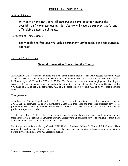# **EXECUTIVE SUMMARY**

# Vision Statement

Within the next ten years, all persons and families experiencing the possibility of homelessness in Allen County will have a permanent, safe, and affordable place to call home.

# Definition of Homelessness

Individuals and families who lack a permanent, affordable, safe and suitable address $^{\rm 1}$ 

# Lima and Allen County

# **General Information Concerning the County**

Allen County, Ohio covers four hundred and five square miles in Northwestern Ohio, located halfway between Toledo and Dayton. The County, established in 1831, is home to 108,473 persons with its County Seat housed in Lima, a city of 40,081 with a CBSA of 155,084. The County serves as a regional employment, shopping and service center for a ten county area. Located on the automotive corridor of Interstate 75, Allen County is within 600 miles of 67% of the U.S. population, 72% of U.S. purchasing power and 70% of all U.S. manufacturing firms.

### **Transportation**

In addition to I-75 (north/south) and U.S. 30 (east/west), Allen County is served by five major state routes - 309,117,81 (all east/west), 65 and 66 (north/south). Both light truck load and truck load overnight services are provided by nearly 30 freight companies with several Lima-based carriers providing "just-in-time" movement of production support materials

The deepwater Port of Toledo is located one hour north of Allen County offering access to international shipping through the Great Lakes and St. Lawrence Seaway. Direct overnight container service is available to most major North American seaports on the East and West coasts.

Rail freight service is provided by Conrail, CSX, Norfolk Southern, Indiana & Ohio and R.J. Corman. These combined Class I and short-line services create a grid of long-haul transportation options for local manufacturers. Several development sites with rail access are available.

 $\overline{\phantom{a}}$  $1$  Definition used in the Houghton Michigan Blueprint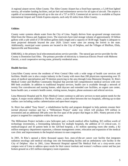A regional airport serves Allen County. The Allen County Airport has a fixed base operator, a 5,149 foot lighted runway, all-weather landing facilities, and jet fuel and maintenance service for all types of aircraft. The airport is capable of accommodating aircraft up to the size of a 727 or DC9. Commercial air service is available at Dayton international Airport and Toledo Express airports, each only 65 miles from Allen County.

### **Utilities**

County water systems obtain water from the City of Lima. Supply derives from up-ground storage reservoirs filled from the Ottawa and Auglaize rivers. The reservoirs have total storage volume of approximately 10 billion gallons with a safe yield of 27.60 million gallons daily (mgd) and a capacity of 30.00 mgd. Supply is adequate to meet projected demands beyond the year 2020. Lima's water rates are among the lowest in the state. Additionally, municipal water systems are located in the City of Delphos, and the Villages of Bluffton, Elida, Spencerville and Beaverdam.

EMBARQ, is the primary local telecommunications service provider. The natural gas service provider for the County is Dominion East Ohio. The primary provider of electricity is American Electric Power with Midwest Electric, a rural cooperative serving some, primarily residential areas.

# **Health Services**

Lima/Allen County serves the residents of West Central Ohio with a wide range of health care services and facilities. Health care is also a major industry in the County with more than 200 physicians representing over 35 areas of medical specialization and 70 dentists practicing in the area through Lima Memorial Hospital, St. Rita's Medical Center and Bluffton Community Hospital that provide full comprehensive medical services with over 800 beds available. In addition to traditional hospital services, health care is available through a network of twenty five convalescent and nursing homes, adult daycare and extended care facilities, an urgent care center, home health care, a women's health center, visiting nurses, hospice, phone assistance and referral services.

Lima Memorial Hospital and St. Rita's Medical Center continue to add new services to meet patient needs for the region. A major recent addition is The Heart Center, a joint effort between the two hospitals, offering up-to-date cardiac care including cardiac catheterization and open-heart surgery.

St. Rita's has added "Easy Street", a rehabilitation facility and program designed to help patients resume their normal physical routines and has a "Millennium Project" under way which will produce \$50 million in investment and an additional 300 jobs over the five span of the project that began in 2001. Ninety percent of the project is targeted for completion within the next year.

The Millennium Project includes a new helicopter pad, a fourth medical office building, \$15 million worth of technology investments, a freestanding laboratory for multiple hospitals, the addition of 13 critical-care, 11 medical/surgical and 50 patient beds in the 320-bed hospital, a \$1 million operating room (the ninth), a \$2 million emergency department expansion, a disease management center, relocation and expansion of the medical care clinic and improvements to the hospital entrance to ease congestion.

In 2001, St Rita"s opened a thirty thousand square foot, state-of-the-art cancer care facility that integrates radiation oncology and medical oncology into one freestanding facility and an ambulatory care facility in the City of Delphos. Also in 2001, Lima Memorial Hospital opened The Medical Park on a sixty-seven acres campus west of Lima to address space needs for their cancer institute and women"s wellness center and has just broken ground on a \$15 million emergency room expansion.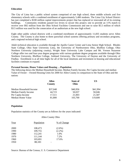#### **Education**

The City of Lima has a public school system comprised of one high school, three middle schools and five elementary schools with a combined enrollment of approximately 5,400 students. The Lima City School District has just completed a \$100 million capital improvements project that has replaced or renovated all of its existing buildings. Community residents passed two levies to secure this project; one to provide an 11% match to receive over \$92 million from the Ohio School Facilities Commission and one to raise \$5.5 million of which \$3.5 million was used for the consecution of an auditorium at the new high school.

Eight other public school districts with a combined enrollment of approximately 11,835 students serve Allen County. The County is also home to three parochial school systems offering primary and secondary programs, and a regional technical high school.

Adult technical education is available through the Apollo Career Center and Lima Senior High School. Rhodes State College, Ohio State University Lima, the University of Northwestern Ohio, Bluffton College, Ohio Northern University (adjoining county), Wright State University Lake Campus and Mt. Vernon Nazarene College offer two and four-year degree programs with various graduate degree programs available through Ohio Northern University, Bluffton College, Ashland University, The University of Dayton and the University of Findlay. Enrollment is at all time highs for all of the local intuitions and investment in housing and educational facilities continues to expand.

#### **Personal Income, House Values and Housing …Population**

The following shows the Median Household Income, Median Family Income, Per Capita Income and median Value of Owner – Owned Housing Units for 2000 for Allen County in comparison to the State of Ohio and the nation**:**

|                             | Allen    | <b>State of</b> | US       |
|-----------------------------|----------|-----------------|----------|
|                             | County   | Ohio            |          |
| Median Household Income     | \$37,048 | \$40,956        | \$41,994 |
| <b>Median Family Income</b> | 44,723   | 50,037          | 50,046   |
| Per Capita Income           | 17,511   | 21,003          | 21,587   |
| Median Home Value           | 81,800   | 103,700         | 119,600  |

#### **Population**

Population statistics of the County are as follows for the years indicated:

Allen County Ohio

| Year | Population | % of Change |
|------|------------|-------------|
| 2000 | 108,473    | $(2.6\%)$   |
| 1990 | 109,755    | $(2.2\%)$   |
| 1980 | 112,241    | 1.0%        |
| 1970 | 111,144    | 7.2%        |
| 1960 | 103,691    | 17.6%       |
| 1950 | 88,183     |             |

Source: Bureau of the Census, U. S. Commerce Department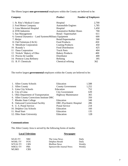The fifteen largest **non-governmental** employers within the County are believed to be:

| Company                                               | <b>Product</b>                 | <b>Number of Employees</b> |
|-------------------------------------------------------|--------------------------------|----------------------------|
| 1. St. Rita's Medical Center                          | Hospital                       | 2,700                      |
| 2. Ford Motor Company                                 | <b>Automobile Engines</b>      | 1,785                      |
| 3. Lima Memorial Hospital                             | Hospital                       | 1,450                      |
| 4. DTR Industries                                     | <b>Automotive Rubber Hoses</b> | 700                        |
| 5. Sun Management                                     | Retail / Supermarket           | 611                        |
| 6. General Dynamics – Land Systems Military Equipment |                                | 600                        |
| 7. Meijer                                             | Retail/Supermarket             | 500                        |
| 8. Chef Solutions ( $\lceil \& K \rceil$ )            | <b>Food Products</b>           | 450                        |
| 9. MetoKote Corporation                               | <b>Coating Products</b>        | 450                        |
| 10. Roundy's                                          | <b>Food Distribution</b>       | 425                        |
| 11 Dana Corporation                                   | <b>Truck Parts</b>             | 404                        |
| 12. Nickels' Bakery of Ohio                           | <b>Bakery Products</b>         | 400                        |
| 13. Proctor & Gamble                                  | Distributor                    | 400                        |
| 14. Premcor Lima Refinery                             | Refining                       | 395                        |
| 15. B. P. Chemicals                                   | Chemical refining              | 362                        |

The twelve largest **governmental** employers within the County are believed to be:

| Education                                 | 1,588 |
|-------------------------------------------|-------|
| <b>County Government</b>                  | 1,252 |
| Education                                 | 752   |
| <b>City Government</b>                    | 639   |
| <b>Highway Maintenance</b>                | 365   |
| 6. Allen County Corrections Institute DRC | 350   |
| Education                                 | 348   |
| DRC-Psychiatric Hospital                  | 286   |
| <b>Postal Service</b>                     | 218   |
| Education                                 | 160   |
| Education                                 | 135   |
| Education                                 | 128   |
|                                           |       |

# **Communications**

The Allen County Area is served by the following forms of media:

| <b>Local Television</b> |            | <b>Newspaper</b>          |        |  |
|-------------------------|------------|---------------------------|--------|--|
| <b>WLIO-TV</b>          | NBC.       | The Lima News             | Daily  |  |
| <b>WOHL-TV</b>          | <b>FOX</b> | Delphos Herald            | Daily  |  |
| WTLW-TV                 | <b>CBN</b> | <b>Bluffton News</b>      | Weekly |  |
| WBGU-TV                 | <b>PBS</b> | Spencerville Journal News | Weekly |  |
| WLMO                    | CBS        |                           |        |  |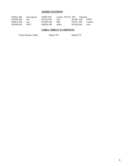# **RADIO STATIONS**

| WIMA-AM | news/sports      | WIMT-FM | country WTGN -FM Christian |         |         |
|---------|------------------|---------|----------------------------|---------|---------|
| WDOH-FM | m <sub>1</sub> x | WUZZ-FM | rock                       | WLJM-AM | ESPN    |
| WMLX-FM | mix              | WGDE-FM | <b>PRS</b>                 | WFGF-FM | country |
| WONB-FM | ONU              | WBUK-FM | oldies                     | WZOO-FM | rock    |

# **CABLE / DIRECT TV SERVICES**

Time Warner Cable **Direct TV** Watch TV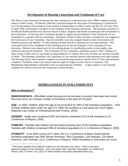# **Development of Housing Consortium and Continuum of Care**

The Allen County Housing Consortium has been meeting on a consistent basis since 1996 to address housing issues in Allen County. In February 2004 the Consortium began the discussion of developing a Continuum of Care for the purpose of focusing on issues related to homelessness in Allen County and the City of Lima, Ohio. In April 2004 a presentation was given to the members of the Housing Consortium. The Housing Consultant of the Mental Health and Recovery Services Board of Allen, Auglaize and Hardin counties gave the presentation to the Consortium. At that time the Consortium decided to support the development of the Continuum of Care Committee as a partner with the Consortium. During the months of May and June a chairperson was assigned to the Continuum of Care Committee. Specific members were also assigned based on their involvement with homeless persons and families. In July training was held with the Continuum of Care subcommittee. This training focused on the completion of the housing survey for the development of the Continuum of Care document. Members also signed up to be on working groups for membership, point-in-time studies, data collection and goal development. The Continuum of Care Committee submitted a grant to Ohio"s Balance of State Group in 2005 and was successful in being funded for 25 Shelter Plus Care vouchers for severely mentally ill adults. The Housing Consortium, the Continuum of Care and the Outreach subcommittee each meet monthly. The Housing Survey subcommittee completes an annual housing inventory and the Point In Time subcommittee completes a homeless count every January and one again in August in years when it is required. The Membership subcommittee continually works on acquiring new members. A gaps analysis is not currently available but will be a focus for the Continuum in future months.

# **HOMELESSNESS IN OUR COMMUNITY**

# **Who is Homeless?<sup>2</sup>**

.

**DEMOGRAPHICS -** Affordable rental housing and an increase in poverty have been two trends that have led to an increase number of homeless in the past 20-25 years

**AGE -** In 2003, children under the age of 18 accounted for 39% of the homeless population – 42% of these children were under the age of 5. Often the numbers in rural areas are much higher. (National Law Center on Homelessness and Poverty, 2004).

**GENDER -** Single men comprised 43% and women comprised 17% of the homeless (U.S. Conference of Mayors, 2005)

**FAMILIES -** Families with children are the fastest growing slice of the homeless population. Families with children comprised 33% of homeless population (U.S. Conference of Mayors, 2005)

**ETHNICITY -** In its 2004 survey of 27 cities, the U.S. Conference of Mayor found that the homeless population was 49% African-American, 35% Caucasian, 13% Hispanic, 2% Native American, and 1%Asian. (U.S. Conference of Mayors, 2005) Homeless in rural areas are much

 $^2$  Information adapted from National Coalition for the Homeless Fact Sheet – Who is Homeless: National Coalition for the Homeless - 1012 14th Street, NW, Suite 600, Washington, DC 20005-3471 Phone: (202) 737-6444. Fax: (202) 737-6445 Website: http://www.nationalhomeless.org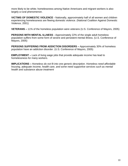more likely to be white; homelessness among Native Americans and migrant workers is also largely a rural phenomenon.

**VICTIMS OF DOMESTIC VIOLENCE -** Nationally, approximately half of all women and children experiencing homelessness are fleeing domestic violence. (National Coalition Against Domestic Violence, 2001)

**VETERANS –** 11% of the homeless population were veterans (U.S. Conference of Mayors, 2005)

**PERSONS WITH MENTAL ILLNESS -** Approximately 22% of the single adult homeless population suffers from some form of severe and persistent mental illness. (U.S. Conference of Mayors, 2005)

**PERSONS SUFFERING FROM ADDICTION DISORDERS –** Approximately 30% of homeless population have an addiction disorder. (U.S. Conference of Mayors, 2005)

**EMPLOYMENT –** Lack of living wage jobs that provide adequate income has lead to homelessness for many workers.

**IMPLICATIONS –** *Homeless do not fit into one generic description. Homeless need affordable housing, adequate income, health care, and some need supportive services such as mental health and substance abuse treatment*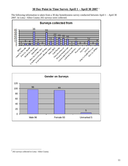# **30 Day Point in Time Survey April 1 – April 30 2007** <sup>3</sup>

The following information is taken from a 30 day homelessness survey conducted between April 1 – April 30 2007. In Lima / Allen County 202 surveys were collected.





<sup>&</sup>lt;sup>3</sup> 202 surveys collected in Lima / Allen County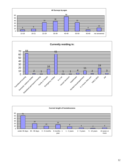



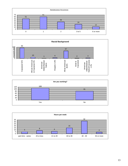





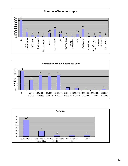



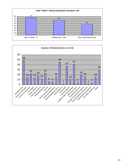

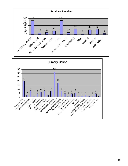

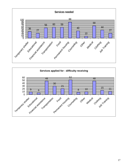

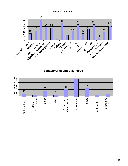

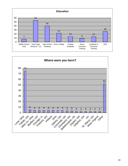

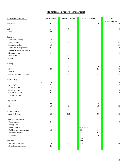# **Homeless Families Assessment**

| Homeless families statistics  | 30 day survey  | Lima City School | Families in Transition   | Total<br>Not Unduplicated |
|-------------------------------|----------------|------------------|--------------------------|---------------------------|
| Total count                   | $45\,$         | 84               | $50\,$                   | 179                       |
| Male                          | 6              | 9                |                          | 15                        |
| Female                        | 39             | $75\,$           |                          | 114                       |
| Staying in:                   |                |                  |                          |                           |
| Transitional housing          | 14             |                  |                          | 14                        |
| Family/Friends                | 9              | 60               |                          | 69                        |
| Emergency shelter             | $10\,$         | 16               |                          | $26\,$                    |
| Rented house or apartment     | 6              |                  |                          | $\epsilon$                |
| Subsidized permanent housing  | $\mathbf{1}$   |                  |                          | $\mathbf{1}$              |
| Home they own                 | $\mathbf{1}$   |                  |                          | $\,1\,$                   |
| Hotel/Motel                   |                | $\boldsymbol{7}$ |                          | $\boldsymbol{7}$          |
| Camper                        |                | $\,1\,$          |                          | $\,1\,$                   |
| Working                       |                |                  |                          |                           |
| Yes                           | 21             | 42               | 13                       | $76\,$                    |
| $\rm No$                      | $24\,$         | $10\,$           | 21                       | 55                        |
| Student                       |                | 5                | $\mathbf{1}$             | $\sqrt{6}$                |
| Collecting support or benefit |                | $28\,$           | 5                        | 33                        |
| Annual Salary                 |                |                  |                          |                           |
| $\boldsymbol{0}$              | $10\,$         |                  |                          | $10\,$                    |
| up to \$1,000                 | 5              |                  |                          | $\sqrt{5}$                |
| \$1,000 to \$4,999            | 13             |                  |                          | 13                        |
| \$5,000 to \$9,999            | 6              |                  |                          | $\epsilon$                |
| \$10,000 to \$14,000          | 6              |                  |                          | $\sqrt{6}$                |
| \$15,000 - \$19,999           | 3              |                  |                          | $\mathfrak{Z}$            |
| Single parent                 |                |                  |                          |                           |
| Yes                           | 40             | $75\,$           | $24\,$                   | 139                       |
| ${\rm No}$                    | $10\,$         | 9                | 16                       | 35                        |
| Number in house               |                |                  |                          |                           |
| Ages 17 & under               | 66             | 164              | 95                       | 325                       |
| Cause for homelessness        |                |                  |                          |                           |
| Unemployment                  | 8              |                  |                          | $\,$ 8 $\,$               |
| Seeking work                  | 1              |                  |                          | 1                         |
| Utility disconnect            | 1              |                  | Referrals from:          | 1                         |
| Unable to pay rent/mortgage   | 14             |                  | CS<br>1                  | 14                        |
| Income not adequate           | $\overline{c}$ |                  | <b>FRC</b><br>6          | $\sqrt{2}$                |
| Low wage                      | $\mathbf{1}$   |                  | <b>LCS</b><br>18         | $\mathbf{1}$              |
|                               |                |                  | Met<br>$\overline{4}$    |                           |
| Education                     |                |                  | Self<br>$\overline{7}$   |                           |
| High School graduate          | 23             | 41               | $\boldsymbol{7}$<br>S.H. | 64                        |
| No diploma or unknown         | 21             | 43               |                          | 64                        |
|                               |                |                  |                          |                           |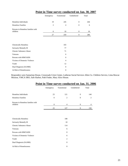|                                   | Transitional<br>Emergency |                | Unsheltered    | Total |  |
|-----------------------------------|---------------------------|----------------|----------------|-------|--|
|                                   |                           |                |                |       |  |
| Homeless Individuals              | 19                        | 245            | $\theta$       | 264   |  |
| <b>Homeless Families</b>          | $\overline{2}$            | $\overline{4}$ | $\mathbf{0}$   | 6     |  |
| Persons in Homeless families with |                           |                |                |       |  |
| children                          | 6                         | 10             | $\overline{0}$ | 16    |  |
|                                   | 27                        | 259            | $\overline{0}$ | 286   |  |
|                                   |                           |                |                |       |  |
|                                   |                           |                |                |       |  |
| <b>Chronically Homeless</b>       |                           | 103            |                |       |  |
| Seriously Mentally Ill            |                           | 77             |                |       |  |
| Chronic Substance Abuse           |                           | 71             |                |       |  |
| Veterans                          |                           | 6              |                |       |  |
| Persons with HIM?AIDS             |                           | $\mathbf{0}$   |                |       |  |
| Victims of Domestic Violence      |                           | $\overline{4}$ |                |       |  |
| Youth                             |                           | 12             |                |       |  |
| Dual Diagnosis (SA/MH)            |                           | $\mathbf{0}$   |                |       |  |
| At Risk of Homelessness           |                           | $\mathbf{0}$   |                |       |  |

# **Point in Time survey conducted on Jan. 30, 2007**

Responders were Samaritan House, Crossroads Crisis Center, Lutheran Social Services Allen Co. Children Service, Lima Rescue Mission, YMCA SRO, Safe Harbor, Path Finder, Mary Alice House.

|                                               |                  |                | Point in Time survey conducted on Jan. 31, 2000 |                |
|-----------------------------------------------|------------------|----------------|-------------------------------------------------|----------------|
|                                               | Emergency        | Transitional   | Unsheltered                                     | Total          |
| Homeless Individuals                          | 23               | 121            | $\Omega$                                        | 144            |
| <b>Homeless Families</b>                      | $\mathbf{0}$     | $\mathbf{2}$   | $\overline{0}$                                  | $\overline{c}$ |
| Persons in Homeless families with<br>children | $\boldsymbol{0}$ | 4              | $\boldsymbol{0}$                                | 4              |
|                                               | 23               | 127            | $\boldsymbol{0}$                                | 150            |
|                                               |                  |                |                                                 |                |
| Chronically Homeless                          |                  | 108            |                                                 |                |
| Seriously Mentally Ill                        |                  | 10             |                                                 |                |
| Chronic Substance Abuse                       |                  | 114            |                                                 |                |
| Veterans                                      |                  | 6              |                                                 |                |
| Persons with HIM?AIDS                         |                  | $\mathbf{0}$   |                                                 |                |
| Victims of Domestic Violence                  |                  | 6              |                                                 |                |
| Youth                                         |                  | $\overline{c}$ |                                                 |                |
| Dual Diagnosis (SA/MH)                        |                  | $\mathbf{0}$   |                                                 |                |
| At Risk of Homelessness                       |                  | $\overline{0}$ |                                                 |                |

# **Point in Time survey conducted on Jan. 31, 2006**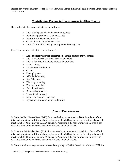Responders were Samaritan House, Crossroads Crisis Center, Lutheran Social Services Lima Rescue Mission, YMCA SRO

# **Contributing Factors to Homelessness in Allen County**

Respondents to the surveys identified the following:

- Lack of adequate jobs in the community 22%
- Relationship problems / challenges 13%
- Health, AoD, Mental Health 41%
- Criminal Justice involvement 13%
- Lack of affordable housing and supported housing 11%

Core Team members identified the following<sup>4</sup>:

- Lack of effective service coordination single point of entry  $\prime$  contact
- Lack of awareness of current services available
- Lack of funds to effectively address the problems
- Mental Illness
- Drug/Alcohol addictions
- Crime
- Unemployment
- Affordable housing
- Sex Offenders
- Discharge planning
- Emergency shelters
- Early Identification
- Band Aid approaches
- Transitional Housing
- $\bullet$  Long term support sponsors
- Impact on children in homeless families

# **Cost of Homelessness**

In Ohio, the Fair Market Rent (FMR) for a two-bedroom apartment is **\$640.** In order to afford this level of rent and utilities, without paying more than 30% of income on housing, a household must earn \$1,793 monthly or \$21,520 annually. Assuming a 40-hour workweek, 52 weeks per year, this level of income translates into a Housing Wage of \$12.31.

In Lima, the Fair Market Rent (FMR) for a two-bedroom apartment is **\$538.** In order to afford this level of rent and utilities, without paying more than 30% of income on housing, a household must earn \$2,133 monthly or \$25,596 annually. Assuming a 40-hour workweek, 52 weeks per year, this level of income translates into a Housing Wage of \$10.35.

In Ohio, a minimum wage worker earns an hourly wage of \$6.85. In order to afford the FMR for

 $\overline{\phantom{a}}$  $4$  April 17, 2007 Blueprint to End Homelessness – Core Team Meeting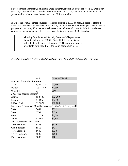a two-bedroom apartment, a minimum wage earner must work 80 hours per week, 52 weeks per year. Or, a household must include 12.0 minimum wage earner(s) working 40 hours per week year-round in order to make the two bedroom FMR affordable.

In Ohio, the estimated mean (average) wage for a renter is \$9.07 an hour. In order to afford the FMR for a two-bedroom apartment at this wage, a renter must work 46 hours per week, 52 weeks per year. Or, working 40 hours per week year-round, a household must include 1.1 worker(s) earning the mean renter wage in order to make the two-bedroom FMR affordable.

> Monthly Supplemental Security Income (SSI) payments for an individual are \$603 in Ohio. If SSI represents an individual's sole source of income, \$181 in monthly rent is affordable, while the FMR for a one-bedroom is \$515.

A unit is considered affordable if it costs no more than 30% of the renter's income.

|                                          | Ohio      | Lima, OH MSA                                                            |  |  |  |  |  |  |  |
|------------------------------------------|-----------|-------------------------------------------------------------------------|--|--|--|--|--|--|--|
| Number of Households (2000)              |           |                                                                         |  |  |  |  |  |  |  |
| Total                                    | 4,445,773 | 40,646                                                                  |  |  |  |  |  |  |  |
| Renter                                   | 1,373,259 | 11,356                                                                  |  |  |  |  |  |  |  |
| % Renter                                 | 31%       | 28%                                                                     |  |  |  |  |  |  |  |
| 2006 Area Median Income <sup>1</sup>     |           |                                                                         |  |  |  |  |  |  |  |
| Annual                                   | \$58,736  | \$52,200                                                                |  |  |  |  |  |  |  |
| Monthly                                  | \$4,895   | \$4,350                                                                 |  |  |  |  |  |  |  |
| 30% of $AMI2$                            | \$17,621  | \$15,660                                                                |  |  |  |  |  |  |  |
|                                          |           | Maximum Affordable <sup>3</sup> Monthly Housing Cost by % of Family AMI |  |  |  |  |  |  |  |
| 30%                                      | \$441     | \$392                                                                   |  |  |  |  |  |  |  |
| 50%                                      | \$734     | \$653                                                                   |  |  |  |  |  |  |  |
| 80%                                      | \$1,175   | \$1,044                                                                 |  |  |  |  |  |  |  |
| 100%                                     | \$1,468   | \$1,305                                                                 |  |  |  |  |  |  |  |
| 2007 Fair Market Rent (FMR) <sup>4</sup> |           |                                                                         |  |  |  |  |  |  |  |
| Zero-Bedroom                             | \$448     | \$429                                                                   |  |  |  |  |  |  |  |
| One-Bedroom                              | \$515     | \$435                                                                   |  |  |  |  |  |  |  |
| Two-Bedroom                              | \$640     | \$538                                                                   |  |  |  |  |  |  |  |
| Three-Bedroom                            | \$825     | \$663                                                                   |  |  |  |  |  |  |  |
| Four-Bedroom                             | \$893     | \$681                                                                   |  |  |  |  |  |  |  |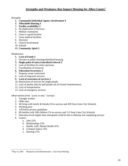# *Strengths*

- **1. Community/Individual Agency Involvement 4**
- **2. Affordable Housing 3**
- 3. **Facility availability 2**
- 4. No duplication of Services
- 5. Midsize community
- 6. Lima is a good location
- 7. Great medical facilities
- 8. Diversity
- 9. Church involvement
- 10. Schools

# **11. Community Spirit 2**

# *Weaknesses*

- **1. Lack of Funds 4**
- 2. Increase in public housing/subsidized housing
- **3. Single point of entry/centralized referral 3**
- 4. Lack of facilities for entire spectrum
- 5. Coordination of resources
- **6. Education/Awareness 2**
- 7. Property owner restrictions
- 8. Lack of long-term services
- **9. Lack of awareness of services 2**
- 10. Restrictions of services for single people
- 11. Lack of quality jobs (to pull people out of chronic homelessness)
- 12. Lack of transportation
- 13. Lack of emergency services

# *Observations from "point in time" surveys:*

- 1. Younger women
- 2. Older men
- 3. 46 living with family & friends (16 in surveys and 430 from Lima City Schools)
- 4. Working poor
- 5. 130 below poverty guidelines
- 6. 80 families with 186 children (74 on surveys and 112 from Lima City Schools)
- 7. Education levels higher than anticipated could be due to illiterate not completing surveys
- 8. Causes:
	- a. Jobs 22%
		- b. Relationships 13%
	- c. Health, AoD, Mental Health 41%
	- d. Criminal Justice 13%
	- e. Housing 11%

 $\overline{\phantom{a}}$  $<sup>5</sup>$  May 15, 2007 Blueprint to End Homelessness - Core Team Meeting</sup>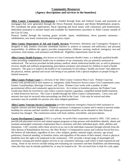# **Community Resources (Agency descriptions and services to the homeless)**

**Allen County Community Development** is funded through State and Federal Grants and payments on mortgages that were generated through the Down Payment Assistance and Home Rehabilitation projects. We coordinate the grant applications, fiscal reporting and local issues with contractors and homeowners. Individual assistance is income based and available for homeowners anywhere in Allen County outside of the City of Lima.

Projects funded through the housing grants include: repair, rehabilitation, down payment assistance – rehabilitation, new home construction, and emergency repair.

**Allen County Department of Job and Family Services** Prevention, Retention and Contingency Program is designed to help families overcome immediate barriers to achieve or maintain self-sufficiency and personal responsibility. In addition the agency provides transportation, childcare, tutoring, medical, emergency rent and assistance, food stamps, cash assistance and Medicaid. Eligibility requirements must be met.

**Allen County Health Partners,** also known as Lima Community Health Center, is a federally qualified health center providing comprehensive health care to members of our community who are primarily uninsured or underserved. The services provided include primary medical, dental, behavioral health care, as well as pharmacy services, health and wellness programming, prescription assistance and outreach for children in need of health insurance. The goal is to improve the health of our community by providing a "health care home" that addresses the physical, mental, spiritual and social well-being of our patients with a special emphasis on people living on limited resources.

**Allen County Probate Court** is a division of the Allen County Common Pleas Court. Probate Court has county-wide jurisdiction in such matters as: Adoptions; Adult Protective Service cases; Civil Commitment cases; Estates; Guardianships; Marriage Licenses; and Trusts. Probate Court works with a number of other governmental offices and community agencies/services. As it relates to homeless persons, the Probate Court would most likely be involved in cases where a person requires a guardian, compelled mental health treatment, or Adult Protective Services. The Court is funded through the Allen County Commissioners. Court costs and attorney fees may be incurred when proceedings are filed in the Court. Costs may be waived and other assistance may be available for persons who meet indigent guidelines.

**Allen County Veterans Service Commission** provides temporary emergency financial relief assistance to eligible veterans and their dependents. Financial assistance is temporary in nature and is meant to prevent undue hardship for veterans and their families until other government benefits can be obtained or their financial situation has changed. The commission assists with food, utilities, rent/shelter, and prescriptions.

**Career Development Company** (CDC) is a private, for-profit Ohio corporation started in 1995. CDC seeks to provide job placement services and related support programs to help persons with disabilities identify, obtain and maintain meaningful community employment that is consistent with their individual goals, skills, abilities and limitations. CDC currently offers these services at no cost to the individual consumer through referrals from the Ohio Bureau of Rehabilitation Services; the Ohio Worker"s Compensation system and Lutheran Social Services. We believe all individuals, regardless of race, color, religion, gender, national origin, ancestry, age sexual preference, financial standing, or homeless status; and regardless of the nature of their mental, visual or physical disability have the right to be employed in the community. CDC provides a broad range of meaningful job placement, training and related support services to our consumers utilizing a staff which is both experienced and caring. Some of our services include testing and evaluating our consumers and their disabilities and determining what jobs they may be already qualified for, or may be trained to do. We can teach how to look for a job, apply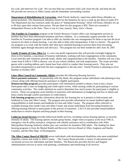for a job, and interview for a job. We can also help our consumers find a job, learn the job, and keep the job. We provide our services in Allen County and the immediate surrounding counties.

**Department of Rehabilitation & Correction**, *Adult Parole Authority*: supervises adult felony offenders on parole/probation. The Department subsidizes hotels for the homeless for up to a week @ per diem of under \$75. The Department also has contracts under the guise of "Independent Housing" which will house offenders for up to 90 days upon their release from prison. The per diem for this program is \$30. There are currently 6 Independent Houses in the State. There is one in Lima, namely; Mary Alice"s House.

**The Families In Transition** program at the Family Resource Centers offers case management services to families that have been determined homeless and have children. As a community support provider for the Families In Transition program I am able to offer my families the case management for them to tap into the local resources for them to obtain housing. I am also able to help with transportation, if that is a barrier. The goal for my program is to work with the family after they have obtained housing to prevent them from becoming homeless again through education and advocacy. This program has not been funded for after June 30, 2007.

**Family Promise of Lima Allen Co**. is a new non-profit organization that will provide overnight lodging for three to five families, a maximum of fourteen individuals, working with host congregations in the community. Local churches and volunteers provide meals, shelter and companionship to the families. Families will use a day center from 8 AM to 5 PM to shower, care for pre-school children, and seek employment. The center provides guests with a mailing address and a home base from which to conduct their housing search. They also are provided transportation to and from the host congregation to the day enter. Family Promise is planning to serve families in October 2007.

**Lima Allen Council on Community Affairs** provides the following Housing Services:

**Down payment assistance** – In partnership with Sky Bank, this program assists individuals with planning to buy a house along with offering financial assistance to eligible participants.

**Homeownership program** provides participants with information needed to obtain a loan to buy a house. Participants take a class on budgeting and credit report review, while earning credits by participating in various community activities. The credits obtained are used to determine how much money the participant is eligible to receive. These two programs assist families in transition with information on budgeting and how to obtain and keep a home through careful assessment of credit history.

**Fair housing program** provides information about the fair housing law as it pertains to both tenants and landlords in Lima and Allen County. The program also provides information on tenant landlord rights and responsibilities to both tenants and landlords in Lima and Allen County. The program offers referrals to available housing units inside Lima and Allen County and assists individuals from becoming homeless by offering housing referrals to participants in the process of transition. LACCA also provides tenant/landlord medication to resolve disputes and keep people in their housing.

**Lutheran Social Services** provides behavioral health services, including various housing options, to severely mentally ill adults. The housing options include group homes, single room occupancy at the local YMCA, emergency rent & utility assistance, temporary rent subsidy assistance and in coordination with Allen Metropolitan Housing Authority shelter plus care vouchers for homeless SMI adults. The funding for these housing programs is from the Mental Health and Recovery Services Board of Allen, Auglaize and Hardin Counties, and the Ohio Dept. of Development.

**The Allen County Board of MR/DD** serves individuals with developmental disabilities who meet established eligibility criteria and reside in Allen County. The County Board provides a variety of educational and vocational services for individuals and their families. The Board also provides Service and Support Administration services to assist with planning, coordination and monitoring of all services.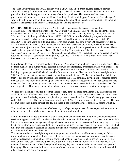The Allen County Board of MR/DD partners with LODDI, Inc., a non-profit housing board, to provide affordable housing for eligible individuals receiving residential services. The Board plans and authorizes the provision of residential supports with a variety of certified providers. The current need for these programs/services far exceeds the availability of funding. Service and Support Associates (Case Managers) work with individuals who are homeless, or in danger of becoming homeless, by collaborating with community resources that already exist to meet the individual"s health and safety needs.

**SAFE HARBOR** Runaway and Homeless Youth Shelter began providing services for youth in March of 1992. The shelter's location is at 1012 W. Market St. in Lima, Ohio 45805. The shelter has been designed to meet the needs of youth in a seven-county are of Allen, Auglaize, Hardin, Mercer, Putnam, Van Wert and Hancock, through a Federal Grant. SAFE HARBOR is capable of sleeping ten youth who are separated by gender. Also, the shelter has a nursery equipped for a teen parent with a small child. SAFE HARBOR is open to youth on a 24 hour basis, seven days a week, 365 days a year. All services provided by SAFE HARBOR are free of charge to all teens and families in crisis who are directly referring themselves. Services are not just for youth from these counties, but for any youth wanting services at this location. Those services that are provided include: Shelter, Meals, Clothing, Transportation, Crisis Intervention, Individual/Family sessions, "Teens Only" Group, a Systematic Step-Teen Parenting Group, Aftercare Services, tutoring,and Monthly Educational Trainings. Any youth age 12 through 17 who is a runaway, throwaway, homeless or in crisis have access to Safe Harbor.

**Lima Rescue Mission** is a homeless shelter for men. We can house up to 28 men in our overnight dorm. These beds are available on a night by night basis for those who need temporary or emergency help with shelter. The building is closed down for these men during the daytime except for times of below freezing weather. The building is open again at 4:30P.M and available for them to come in. Check-in time for the overnight beds is 7:00P.M. They must attend a chapel service at that time in order to stay. We have towels and washcloths for them to use and hygiene products available. The cost for this is .50 per night. Payment is not required before they can stay. We allow them to owe up to \$5.00 before we start enforcing payment. We can sometimes help those with this if they are in genuine need of it. If they are new to the overnight dorm we give them their first three nights free. This can give them a little chance to see if they want to stay or work something else out.

We also offer sleeping rooms for those that choose to stay here on a more permanent basis. These rooms are available to those who have been in our overnight dorm for at least 7 days and have the means to pay \$120.00 per month plus a \$10.00 key deposit. Application process is needed for this. Most of these guys have jobs or collect S.S, S.S.I. Etc. They are not required to be in at 7:00P.M. They are more free to come and go. They are not shut out of the building through the day like those in the overnight dorm. There are 32 rooms available.

The Lima Rescue Mission is for men of at least 21 yrs. of age, except in case of an emergency situation we can take men younger for a night or two, and we do not take sexual offenders.

**Lima's Samaritan House** is a homeless shelter for women and children providing food, shelter and essential services to approximately 450 homeless and/or abused women and children per year. Services provided include intense one-on-one case management, drug and alcohol education, and lesson on nutrition, budgeting, parenting, health care instructions, resumes and job interviewing techniques. Resident may stay up to ninety days in which time they are expected to establish an income through employment or entitlement and save 80% of that income to ultimately find permanent housing.

The shelter also has an overnight program for single women who do not qualify or are not ready to follow through with a structured plan. Rather than risk having them stay in an unsafe environment, sleep in a car or under a bridge, this program allows them to come in at 6:00 pm, east supper, take a shower, watch TV, play cards or just "hang-out". They are given a clean bedroll. In the morning after breakfast and meal clean up at 8:00 am they must leave. Unlike the regular admissions, they are not permitted to leave any of their personal belonging. There is no time limit on the number of times they spend the night. Some become residents while others move on and return sporadically.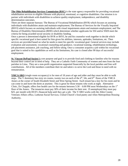**The Ohio Rehabilitation Services Commission (RSC)** is the state agency responsible for providing vocational rehabilitation services to eligible Ohioans with physical, emotional, or cognitive disabilities. Our mission is to partner with individuals with disabilities to achieve quality employment, independence, and disability determination outcomes.

There are three separate bureaus: The Bureau of Vocational Rehabilitation (BVR) which focuses on assisting individuals with disabilities attain and maintain employment; The Bureau of Services for the Visually Impaired (BSVI) which focuses on assisting individuals with visual impairments attain and maintain employment; and The Bureau of Disability Determination (BDD) which determines whether applicants for SSI and/or SSDI meet the criteria for being awarded social security or disability funding.

Once a person is determined eligible for BVR or BSVI, he and his counselor work together to decide which specific vocational goal is best suited for him given his abilities, interests, aptitudes, limitations, etc. Then services are provided based on what he needs to meet his specific vocational goal. General services may include evaluation and assessment, vocational counseling and guidance, vocational training, rehabilitation technology, job placement assistance, job coaching, and follow-along. Once a consumer acquires a job within his vocational goal that is suited to his capabilities as well as his limitations, his case is closed after 90 days of successful employment.

**St. Vincent DePaul Society's** core purpose and goal is to provide food and clothing to families who for reasons beyond their control are in need of help. They are a Catholic Faith Community of women and men from the four parishes in Lima. They are a non-profit organization supported financially by the local parishes and free-will contributions. All of the members contribute their tie and talent s to serve the Lord and those in need with no remuneration.

**YMCA-SRO** (single room occupancy) is for men of 18 years of age and older and they must be able to walk steps. The Y dormitory has sixty six rooms, twenty two on each of the  $4<sup>th</sup>$ , 5th, and  $6<sup>th</sup>$  floors of the YMCA Annex at the corner of South Elizabeth Street and West Spring Street. Each tenant has a key for his room and he can come in and leave the dorm at anytime. This is great for those tenants who work at night. Alternative Clinic, Dr Chapple, offers free health care for the tenants between  $5:30 - 6:00$  PM most Wednesdays on the  $1<sup>st</sup>$ floor of the Annex. The tenancies must pay 30% of their income for their rent. If unemployed they must pay \$25. per month with HUD's financial help until they get a job. The Y-SRO works with the Allen County Veterans Affairs office, Lutheran Social Services, United Church"s food pantry and Allen Metropolitan Housing Authority.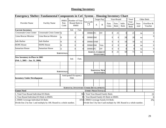# **Housing Inventory**

|                                                                       | Emergency Shelter: Fundamental Components in CoC System - Housing Inventory Chart |                   |                               |                |                                                                              |                  |                                             |                  |                     |                       |                               |               |                       |
|-----------------------------------------------------------------------|-----------------------------------------------------------------------------------|-------------------|-------------------------------|----------------|------------------------------------------------------------------------------|------------------|---------------------------------------------|------------------|---------------------|-----------------------|-------------------------------|---------------|-----------------------|
|                                                                       |                                                                                   | <b>HMIS</b>       | Number of Year                |                |                                                                              |                  | <b>Target Pop</b>                           |                  | Year-Round          |                       | Total                         |               | Other Beds            |
| Provider Name                                                         | <b>Facility Name</b>                                                              | Part.<br>Code     | <b>HMIS</b>                   | Round Beds in  | Geo Code                                                                     | A                | $\, {\bf B}$                                | Fam.<br>Units    | Fam.<br><b>Beds</b> | Indiv.<br><b>Beds</b> | Year-<br>Round<br><b>Beds</b> | Seas-<br>onal | Overflow &<br>Voucher |
| <b>Current Inventory</b>                                              |                                                                                   |                   | Ind.                          | Fam.           |                                                                              |                  |                                             |                  |                     |                       |                               |               |                       |
| <b>Crossroads Crisis Center</b>                                       | Crossroads Crisis Center $\vert$ N                                                |                   | $\theta$                      | 0              | 399003FC                                                                     |                  | DV                                          | 8                | 21                  |                       | 21                            | na            | $\Omega$              |
| Lima Rescue Mission                                                   | Lima Rescue Mission                                                               | N                 |                               | 0              | 399003 <sub>SM</sub>                                                         |                  |                                             | $\boldsymbol{0}$ |                     | 28                    | 28                            | na            | $\Omega$              |
| Safe Harbor                                                           | Safe Harbor                                                                       | Ñ                 | $\overline{0}$                | $\overline{0}$ | 399003 YMF                                                                   |                  |                                             | $\boldsymbol{0}$ |                     | 10                    | 10                            | na            | $\overline{0}$        |
| <b>HOPE House</b>                                                     | <b>HOPE House</b>                                                                 | Ń                 | $\theta$                      | $\overline{0}$ | 399003 <sub>SM</sub>                                                         |                  | Vets                                        | $\mathbf{0}$     |                     |                       |                               | na            | $\overline{0}$        |
| <b>Samaritan House</b>                                                | <b>Samaritan House</b>                                                            | A                 | 8                             | $\overline{0}$ | 399003FC                                                                     |                  | DV                                          | $\boldsymbol{0}$ |                     |                       |                               | na            | $\overline{0}$        |
| <b>SUBTOTALS:</b>                                                     |                                                                                   |                   |                               |                |                                                                              |                  | <b>SUBTOT. CURRENT</b><br><b>INVENTORY:</b> | 8                | 21                  | 50                    | 71                            | na            | $\Omega$              |
| New Inventory in Place in 2005<br>(Feb. 1, 2005 - Jan. 31, 2006)      |                                                                                   |                   | Ind.                          | Fam.           |                                                                              |                  |                                             |                  |                     |                       |                               |               |                       |
|                                                                       |                                                                                   |                   |                               |                |                                                                              |                  |                                             |                  |                     |                       |                               |               |                       |
|                                                                       |                                                                                   | <b>SUBTOTALS:</b> |                               |                |                                                                              | <b>INVENTORY</b> | <b>SUBTOTAL NEW</b>                         |                  |                     |                       |                               |               |                       |
| <b>Inventory Under Development</b>                                    |                                                                                   |                   | Anticipated Occupancy<br>Date |                |                                                                              |                  |                                             |                  |                     |                       |                               |               |                       |
|                                                                       |                                                                                   |                   |                               |                |                                                                              |                  |                                             |                  |                     |                       |                               |               |                       |
|                                                                       |                                                                                   |                   |                               |                | <b>SUBTOTAL INVENTORY UNDER DEVELOPMENT:</b>                                 |                  |                                             |                  |                     |                       |                               |               |                       |
| <b>Unmet Need</b>                                                     |                                                                                   |                   |                               |                | <b>UNMET NEED TOTALS:</b>                                                    |                  |                                             |                  |                     |                       |                               |               |                       |
| 1. Total Year-Round Individual ES Beds:                               |                                                                                   |                   |                               |                |                                                                              |                  |                                             |                  |                     |                       |                               |               | 21                    |
| 2. Year-Round Individual ES Beds in HMIS:                             |                                                                                   |                   |                               |                | 504. Total Year-Round Family Beds:<br>85. Year-Round Family ES Beds in HMIS: |                  |                                             |                  |                     | $\overline{0}$        |                               |               |                       |
| 3. HMIS Coverage Individual ES Beds:                                  |                                                                                   |                   |                               |                | 16% 6. HMIS Coverage Family ES Beds:                                         |                  |                                             |                  |                     | 0%                    |                               |               |                       |
| Divide line 2 by line 1 and multiply by 100. Round to a whole number. |                                                                                   |                   |                               |                | Divide line 5 by line 4 and multiply by 100. Round to a whole number.        |                  |                                             |                  |                     |                       |                               |               |                       |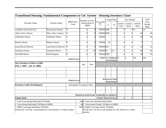| Transitional Housing: Fundamental Components in CoC System - Housing Inventory Chart |                       |                                   |                                                                          |               |                                              |                     |                                               |                          |                       |                         |                               |
|--------------------------------------------------------------------------------------|-----------------------|-----------------------------------|--------------------------------------------------------------------------|---------------|----------------------------------------------|---------------------|-----------------------------------------------|--------------------------|-----------------------|-------------------------|-------------------------------|
|                                                                                      |                       |                                   | Number of Year-                                                          |               |                                              |                     | <b>Target Pop</b>                             |                          | Year-Round            |                         | Total                         |
| Provider Name                                                                        | <b>Facility Name</b>  | HMIS Part.<br>Code                | <b>HMIS</b>                                                              | Round Beds in | Geo Code                                     | A                   | $\, {\bf B}$                                  | Family<br>Units          | Family<br><b>Beds</b> | Individ.<br><b>Beds</b> | Year-<br>Round<br><b>Beds</b> |
| <b>Lutheran Social Services</b>                                                      | Renaissance House     | N                                 | $\overline{0}$                                                           | $\Omega$      | 399003 SMF                                   |                     |                                               | $\theta$                 |                       | 014                     | 14                            |
| Mary Alice's House                                                                   | Mary Alice's House    | N                                 | $\overline{0}$                                                           | $\Omega$      | 399003SMF                                    |                     |                                               | $\Omega$                 | $\theta$              | 45                      | 45                            |
| Pathfinder House                                                                     | Pathfinder House      | N                                 | $\Omega$                                                                 | $\Omega$      | 399003                                       |                     |                                               |                          | 0                     | 59                      | 59                            |
| Phoenix House                                                                        | Phoenix House         | N                                 | $\theta$                                                                 | $\Omega$      | 399003                                       | <b>SF</b>           |                                               | 0                        | $\overline{0}$        |                         | $\overline{7}$                |
| Lima Rescue Mission                                                                  | Lima Rescue Mission N |                                   | $\theta$                                                                 | $\Omega$      | 399003SM                                     |                     |                                               | $\Omega$                 | $\theta$              | 32                      | 32                            |
| Samaritan House                                                                      | Samaritan House       | $\overline{A}$                    | $\theta$                                                                 | 38            | 399003FC                                     |                     | DV                                            | $\Omega$                 | $\theta$              | 40                      | 40                            |
| <b>ADAMH Board</b>                                                                   | <b>HAP Program</b>    | N                                 | $\Omega$                                                                 | $\Omega$      | 399003SMF                                    |                     |                                               |                          | $\overline{0}$        | 29                      | 29                            |
|                                                                                      |                       | <b>SUBTOTALS:</b>                 |                                                                          |               |                                              |                     | <b>SUBTOT. CURRENT 0</b><br><b>INVENTORY:</b> |                          | 0                     | 226                     | 226                           |
| <b>New Inventory in Place in 2005</b><br>(Feb. 1, 2005 - Jan. 31, 2006)              |                       |                                   | Ind.                                                                     | Fam.          |                                              |                     |                                               |                          |                       |                         |                               |
|                                                                                      |                       |                                   |                                                                          |               |                                              |                     |                                               |                          |                       |                         |                               |
|                                                                                      |                       |                                   |                                                                          |               |                                              |                     |                                               |                          |                       |                         |                               |
|                                                                                      |                       | <b>SUBTOTALS:</b>                 |                                                                          |               |                                              | <b>SUBTOTAL NEW</b> | <b>INVENTORY:</b>                             |                          |                       |                         |                               |
| <b>Inventory Under Development</b>                                                   |                       | <b>Anticipated Occupancy Date</b> |                                                                          |               |                                              |                     |                                               |                          |                       |                         |                               |
|                                                                                      |                       |                                   |                                                                          |               |                                              |                     |                                               |                          |                       |                         |                               |
|                                                                                      |                       |                                   |                                                                          |               | <b>SUBTOTAL INVENTORY UNDER DEVELOPMENT:</b> |                     |                                               |                          |                       |                         |                               |
| <b>Unmet Need</b>                                                                    |                       |                                   |                                                                          |               | <b>UNMET NEED TOTALS:</b>                    |                     |                                               | $\overline{\mathcal{E}}$ | $\overline{7}$        |                         | $\tau$                        |
| 1. Total Year-Round Individual TH Beds:                                              |                       |                                   |                                                                          |               | 2264. Total Year-Round Family Beds:          |                     |                                               |                          |                       |                         |                               |
| 2. Year-Round Individual TH Beds in HMIS:                                            |                       |                                   | 40 <sup>5</sup> . Year-Round Family TH Beds in HMIS:                     |               |                                              |                     |                                               |                          |                       |                         |                               |
| 3. HMIS Coverage Individual TH Beds:                                                 |                       |                                   | 18% 6. HMIS Coverage Family TH Beds:                                     |               |                                              |                     |                                               |                          |                       |                         |                               |
| Divide line 2 by line 1 and multiply by 100. Round to a whole number.                |                       |                                   | Divide line 5 by line 4 and multiply by 100. Round to a whole<br>number. |               |                                              |                     |                                               |                          |                       |                         |                               |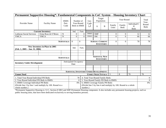|                                                                    | Permanent Supportive Housing*: Fundamental Components in CoC System - Housing Inventory Chart |                   |                                      |                                        |                                              |                           |                      |                                                                |                       |                                  |                      |
|--------------------------------------------------------------------|-----------------------------------------------------------------------------------------------|-------------------|--------------------------------------|----------------------------------------|----------------------------------------------|---------------------------|----------------------|----------------------------------------------------------------|-----------------------|----------------------------------|----------------------|
|                                                                    |                                                                                               | <b>HMIS</b>       |                                      | Number of                              | Geo                                          |                           | Target<br>Population |                                                                | Year-Round            |                                  | Total<br>Year-       |
| Provider Name                                                      | <b>Facility Name</b>                                                                          | Part.<br>Code     | Year-Round<br>Beds in HMIS           |                                        | Code<br>$\mathcal{L}_{\mathcal{A}}$          | A                         | B                    | Family<br>Units                                                | Family<br><b>Beds</b> | Individual/C<br>H<br><b>Beds</b> | Round<br><b>Beds</b> |
|                                                                    | <b>Current Inventory</b>                                                                      |                   | Ind.                                 | Fam.                                   |                                              |                           |                      |                                                                |                       |                                  |                      |
| <b>Lutheran Social Services</b>                                    | Erma Rose & O'Brien                                                                           | N                 | $\Omega$                             | $\Omega$                               | 399003                                       | <b>SMF</b>                |                      | $\overline{0}$                                                 | $\Omega$              | 12                               | 12                   |
| <b>YMCA</b>                                                        | <b>YMCA</b>                                                                                   | $\mathbf N$       | 0                                    | $\Omega$                               | 399003                                       | <b>SM</b>                 |                      | $\Omega$                                                       | $\Omega$              | 66                               | 66                   |
|                                                                    |                                                                                               |                   |                                      |                                        |                                              |                           |                      |                                                                |                       |                                  |                      |
| <b>SUBTOTALS:</b>                                                  |                                                                                               |                   | $\Omega$                             | $\Omega$                               |                                              | <b>SUBTOT. CURRENT</b>    | <b>INVENTORY:</b>    | $\Omega$                                                       | $\Omega$              | 78                               | 78                   |
| New Inventory in Place in 2005<br>$(Feb. 1, 2005 - Jan. 31, 2006)$ |                                                                                               |                   | Ind.                                 | Fam.                                   |                                              |                           |                      |                                                                |                       |                                  |                      |
|                                                                    |                                                                                               |                   |                                      |                                        |                                              |                           |                      |                                                                |                       |                                  |                      |
|                                                                    |                                                                                               |                   |                                      |                                        |                                              |                           |                      |                                                                |                       |                                  |                      |
|                                                                    |                                                                                               | <b>SUBTOTALS:</b> |                                      |                                        |                                              | <b>SUBTOTAL NEW</b>       | <b>INVENTORY:</b>    |                                                                |                       |                                  |                      |
| <b>Inventory Under Development</b>                                 |                                                                                               |                   | <b>Anticipated Occupancy</b><br>Date |                                        |                                              |                           |                      |                                                                |                       |                                  |                      |
|                                                                    |                                                                                               |                   |                                      |                                        |                                              |                           |                      |                                                                |                       |                                  |                      |
|                                                                    |                                                                                               |                   |                                      |                                        |                                              |                           |                      |                                                                |                       |                                  |                      |
|                                                                    |                                                                                               |                   |                                      |                                        | <b>SUBTOTAL INVENTORY UNDER DEVELOPMENT:</b> |                           |                      |                                                                |                       |                                  |                      |
| <b>Unmet Need</b>                                                  |                                                                                               |                   |                                      |                                        |                                              | <b>UNMET NEED TOTALS:</b> |                      | 3                                                              | 8                     | 70                               | 78                   |
| 1. Total Year-Round Individual PH Beds:                            |                                                                                               |                   |                                      | 78                                     | 4. Total Year-Round Family Beds:             |                           |                      |                                                                |                       |                                  | $\overline{0}$       |
| 2. Year-Round Individual PH Beds in HMIS:                          |                                                                                               |                   |                                      | $\Omega$                               | 5. Year-Round Family PH Beds in HMIS:        |                           |                      |                                                                |                       |                                  | $\Omega$             |
| 3. HMIS Coverage Individual PH Beds:                               |                                                                                               |                   |                                      | 6. HMIS Coverage Family PH Beds:<br>0% |                                              |                           |                      |                                                                |                       | 0%                               |                      |
| (Divide line 2 by line 1 and multiply by 100. Round to a           |                                                                                               |                   |                                      |                                        |                                              |                           |                      | (Divide line 5 by line 4 and multiply by 100. Round to a whole |                       |                                  |                      |
| whole number.)                                                     |                                                                                               |                   |                                      |                                        | number.)                                     |                           |                      |                                                                |                       |                                  |                      |

\*Permanent Supportive Housing is: S+C, Section 8 SRO and SHP-Permanent Housing component. It also includes any permanent housing projects, such as public housing units, that have been dedicated exclusively to serving homeless persons.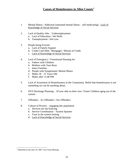# **Causes of Homelessness in Allen County***<sup>6</sup>*

- 1. Mental Illness / Addiction (untreated mental illness self medicating) Lack of Knowledge of Social Services
- 2. Lack of Quality Jobs Underemployment
	- a. Lack of Education / Job Skills
	- b. Unemployment / Job Loss
- 3. People being Evicted
	- a. Lack of Family Support
	- b. Credit Card Debt / Mortgages / Misuse of Credit
	- c. Lack of Knowledge of Social Services
- 4. Lack of Emergency / Transitional Housing for:
	- a. Fathers with Children
	- b. Mothers with Teen Boys
	- c. Intact Families
	- d. People with Symptomatic Mental Illness
	- e. Males 18 21 Years Old
	- f. Males after 11:00 PM
- 5. Lack of Awareness of Homelessness in the Community. Belief that homelessness is not something we can do anything about.
- 6. DYS Discharge Planning 18 year olds on their own / Foster Children aging out of the system.
- 7. Offenders Ex Offenders / Sex Offenders
- 8. Culture of Poverty engaging this population
	- a. Services are not Enticing
	- b. Service Coordination System Spanner
	- c. Trust in the system lacking
	- d. Lack of Knowledge of Social Services

 $\overline{\phantom{a}}$ 

<sup>&</sup>lt;sup>6</sup> Identified at the June 19, 2007 Core Team Meeting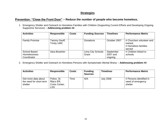# **Strategies**

# **Prevention: "Close the Front Door" – Reduce the number of people who become homeless.**

1. Emergency Shelter and Outreach to Homeless Families with Children (Supporting Current Efforts and Developing Ongoing Supportive Services) – **Addressing problem #4** 

| <b>Activities</b>     | <b>Responsible</b> | <b>Costs</b> | <b>Funding Sources</b> | <b>Timelines</b> | <b>Performance Metric</b> |
|-----------------------|--------------------|--------------|------------------------|------------------|---------------------------|
|                       |                    |              |                        |                  |                           |
| <b>Family Promise</b> | Tammy Geoff,       |              | <b>Donations</b>       | October 2007     | # Churches volunteer and  |
|                       | <b>Trinity UMC</b> |              |                        |                  | trained,                  |
|                       |                    |              |                        |                  | # Homeless families       |
|                       |                    |              |                        |                  | served                    |
| School Based          | Sara Bowsher       |              | Lima City Schools      | September        | # Children linked to      |
| <b>Homelessness</b>   |                    |              | Grant                  | 2007 and         | schools                   |
| Coordinator           |                    |              |                        | ongoing          |                           |

2. Emergency Shelter and Outreach to Homeless Persons with Symptomatic Mental Illness – **Addressing problem #4**

| <b>Activities</b>                                         | <b>Responsible</b>                                        | <b>Costs</b> | <b>Funding</b><br><b>Sources</b> | <b>Timelines</b> | <b>Performance Metric</b>                               |
|-----------------------------------------------------------|-----------------------------------------------------------|--------------|----------------------------------|------------------|---------------------------------------------------------|
| Get more data about<br>the need for short term<br>shelter | Police, St.<br>Rita's ER.<br>Crisis Center,<br><b>LSS</b> | Time         | N/A                              | <b>July 2008</b> | # Persons identified in<br>need of emergency<br>shelter |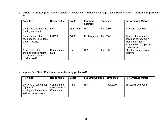3. Cultural Awareness (Emphasis on Culture of Poverty and Training in the Bridges Out of Poverty Model) – **Addressing problem #8**

| <b>Activities</b>                                                              | <b>Responsible</b>   | <b>Costs</b>      | <b>Funding</b><br><b>Sources</b> | <b>Timelines</b> | <b>Performance Metric</b>                                                                                        |
|--------------------------------------------------------------------------------|----------------------|-------------------|----------------------------------|------------------|------------------------------------------------------------------------------------------------------------------|
| Getting Ahead in a Just<br>Getting By World                                    | <b>LACCA</b>         | <b>Staff Time</b> | N/A                              | <b>Fall 2007</b> | # People Attending                                                                                               |
| Create trainers for<br>each agency in Bridges<br>Out of Poverty                | <b>LACCA</b>         | \$4000            | Each Agency                      | <b>Fall 2008</b> | Trainer identified and<br>sessions scheduled, #<br>Trainers trained,<br># Attendees, # Agencies<br>participating |
| Assess need for<br>ongoing cross system<br>discussions among<br>provider staff | Continuum of<br>care | Time              | N/A                              | <b>Fall 2008</b> | Plan for Cross System<br>Training                                                                                |

4. Improve Job Skills / Employment – **Addressing problem #2**

| <b>Activities</b>                                                                        | <b>Responsible</b>                           | <b>Costs</b> | <b>Funding Sources</b> | <b>Timelines</b> | <b>Performance Metric</b> |
|------------------------------------------------------------------------------------------|----------------------------------------------|--------------|------------------------|------------------|---------------------------|
| Convene a focus group<br>of job skill /<br>employment resources<br>to develop strategies | Continuum of<br>Care / Housing<br>Consortium | Time         | N/A                    | <b>Fall 2009</b> | <b>Strategy Developed</b> |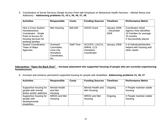5. Coordination of Social Services (Single Access Point with Emphasis on Behavioral Health Services – Mental Illness and Addiction) – **Addressing problems #1, #3 c, #5, #6, #7, #8**

| <b>Activities</b>                                                                                                                     | <b>Responsible</b>                                                             | <b>Costs</b>      | <b>Funding Sources</b>                                        | <b>Timelines</b>                   | <b>Performance Metric</b>                                                                                           |
|---------------------------------------------------------------------------------------------------------------------------------------|--------------------------------------------------------------------------------|-------------------|---------------------------------------------------------------|------------------------------------|---------------------------------------------------------------------------------------------------------------------|
| Hire a Cross System<br><b>Homelessness</b><br>Coordinator - Single<br>Point of Access for<br>housing services for<br>working families | Met Housing                                                                    | \$40,000          | <b>ODOD Grant</b>                                             | January 2008<br>- December<br>2009 | <b>Coordinator Hired</b><br>Agency Host Identified<br>22 Families for average<br>15 months<br># Successfully placed |
| <b>System Coordination</b><br>Team of Major<br>Agencies                                                                               | Outreach<br>Committee,<br>Lima City<br><b>Homeless</b><br>Coordinator,<br>etc. | <b>Staff Time</b> | ACDJFS, LACCA,<br>AMHA, LCS<br><b>Homeless</b><br>Coordinator | January 2008                       | # of individuals/families<br>helped with housing and<br>other needs                                                 |

**Intervention: "Open the Back Door" - Increase placement into supported housing of people who are currently experiencing homelessness.**

6. Increase and enhance permanent supported housing for people with disabilities. **Addressing problems #1, #6, #7**

| <b>Activities</b>        | <b>Responsible</b>   | <b>Costs</b> | <b>Funding Sources</b> | <b>Timelines</b> | <b>Performance Metric</b> |
|--------------------------|----------------------|--------------|------------------------|------------------|---------------------------|
|                          |                      |              |                        |                  |                           |
| Supportive housing for   | <b>Mental Health</b> |              | Mental Health and      | Ongoing          | # People maintain stable  |
| people with mental       | and Met              |              | Met Housing            |                  | housing                   |
| illness and/or addiction | Housing              |              |                        |                  |                           |
| Supportive housing for   | MRDD and Met         |              | MRDD and Met           | Ongoing          | # People maintain stable  |
| people with              | Housing              |              | Housing                |                  | housing                   |
| developmental            |                      |              |                        |                  |                           |
| disabilities             |                      |              |                        |                  |                           |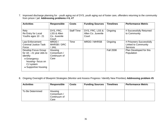7. Improved discharge planning for - youth aging out of DYS, youth aging out of foster care, offenders returning to the community from prison / jail. **Addressing problems # 6, #7**

| <b>Activities</b>                                                                                                                      | <b>Responsible</b>                                | <b>Costs</b>      | <b>Funding Sources</b>                         | <b>Timelines</b> | <b>Performance Metric</b>                                                 |
|----------------------------------------------------------------------------------------------------------------------------------------|---------------------------------------------------|-------------------|------------------------------------------------|------------------|---------------------------------------------------------------------------|
| Rely<br>Re Entry for Local<br>Youths ages 10 - 21                                                                                      | DYS, FRC,<br>LSS & Allen<br>Co. Juvenile<br>Court | <b>Staff Time</b> | DYS, FRC, LSS &<br>Allen Co. Juvenile<br>Court | Ongoing          | # Successfully Returned<br>to Community                                   |
| Law Enforcement<br><b>Criminal Justice Task</b><br>Force                                                                               | MRDD /<br>MHRSB / DRC<br>/ JAIL                   | Time              | <b>MRDD / MHRSB</b>                            | Ongoing          | # Prisoners Successfully<br><b>Linked to Community</b><br><b>Services</b> |
| Develop Focus Group<br>for $18 - 21$ year olds to<br>identify:<br>• Emergency<br>housing-focus on<br>CJ system<br>• Supportive housing | Housing<br>Consortium /<br>Continuum of<br>Care   |                   |                                                | <b>Fall 2008</b> | Plan Developed for this<br>Population                                     |

8. Ongoing Oversight of Blueprint Strategies (Monitor and Assess Progress / Identify New Priorities) **Addressing problem #5**

| <b>Activities</b> | <b>Responsible</b>                              | <b>Costs</b> | <b>Funding Sources</b> | <b>Timelines</b> | <b>Performance Metric</b> |
|-------------------|-------------------------------------------------|--------------|------------------------|------------------|---------------------------|
| To Be Determined  | Housing<br>Consortium /<br>Continuum of<br>Care |              |                        |                  |                           |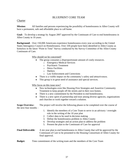# BLUEPRINT CORE TEAM

# **Charter**

**Mission:** All families and persons experiencing the possibility of homelessness in Allen County will have a permanent, safe and affordable place to call home.

**Goal:** To develop a strategy by August 2007 approved by the Continuum of Care to end homelessness in Allen County in 10 years.

**Background:** Over 150,000 Americans experience homelessness every year according to the United States Interagency Council on Homelessness. Over 330 people have been identified in Allen County as homeless in the latest "Point in Time" Survey conducted by the Survey Committee of the Allen County Continuum of Care.

Why should we be concerned?

- The group consumes a disproportionate amount of costly resources.
	- o Emergency Medical Services
	- o Psychiatric Treatment
	- o Detox Facilities
	- o Shelters
	- o Law Enforcement and Corrections
- There is a visible impact on the community's safety and attractiveness.
- This group is in great need of assistance and special services.

#### Why focus on this issue now?

- $\bullet$ New technologies exist like Housing First Strategies and Assertive Community Treatment to keep people off the streets and in their own homes.
- There is a new commitment by the President to end homelessness.
- There is a new spirit of partnership and trust among diverse agencies, organizations and churches to work together toward a solution.

**Scope Overview:** The project will involve the following phases to be completed over the course of the next four months –

- 1. Identify the members of a Core Team to serve in an advisory / oversight role in the writing of the 10 year plan
- 2. Collect data to be used in decision making
- 3. Define the homelessness problem in Allen County
- 4. Develop strategies and an action plan to address the problem
- 5. Present the plan to the Continuum of Care for approval

**Final Deliverable:** A ten year plan to end homelessness in Allen County that will be approved by the Continuum of Care to be presented to the Housing Consortium of Allen County for final approval.

#### **Budget:** Time commitment of the writing team and the members of the Core Team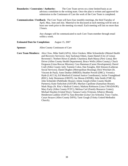**Boundaries / Constraints / Authority:** The Core Team serves on a time limited basis as an advisory committee to the writing team. Once the plan is written and approved for submission to the Continuum of Care the work of the Core Team is completed.

**Communication / Feedback:** The Core Team will have four monthly meetings, the third Tuesday of April, May, June and July. Material to be discussed at each meeting will be sent at least one week prior to the meeting via email. Each meeting will last no more than 2 hours.

> Any changes will be communicated to each Core Team member through email within a week.

#### **Estimated Date for Completion:** August 15, 2007

**Sponsor:** Allen County Continuum of Care

**Core Team Members:** Alex Clow, Mike Stahl (APA); Alice Giesken, Mike Schoenhofer (Mental Health and Recovery Services); Amy Sackman Odum, Joann Hamel (City of Lima); Reverend J. Norbert Howe (Catholic Charities); Barb Massa (New Lima); Bev Driver (Allen County Health Department); Bruce Wells (Allen County); Chuck Ferguson (Lima Rescue Mission); Cora Hamman (Career Development); Darrel Craft (Allen County Jail); Tammie Colon, Dan Faraglia, Deb Stinson (Lutheran Social Services); Daniel Hughes (Metropolitan Housing); Dick Weichart (St. Vincent de Paul); Anne Dunbar (MRDD); Heather Powell (DRC); Veronica Hyde (LACCA); Ed Monford (Criminal Justice Coordinator); Jackie Youngblood (RSC); Jody Slemmons (ODOT); Joe Moran (ODNR); John Smith (YMCA); John Schneider (Pathfinder House); Jolene Joseph (Allen County Health Partners); Katie Sielschott (ASTOP); Marilyn Cipollone (Samaritan House); Mark Skaja (St. Rita"s Medical Center); Marketa Robinson (Lima UMADAOP); Mary Early (Allen County FCFC); Melissa Carl (Family Resource Center); Michael Hayden (United Way); Tamara Curtis (Veterans Affairs); Rhonda Henderson-Laidlaw (SAFY); Sara Bowsher (Lima City Schools); Tracy Taylor, Caryn Strayor (Allen County DJFS); Tami Gough (Trinity United Methodist Church).